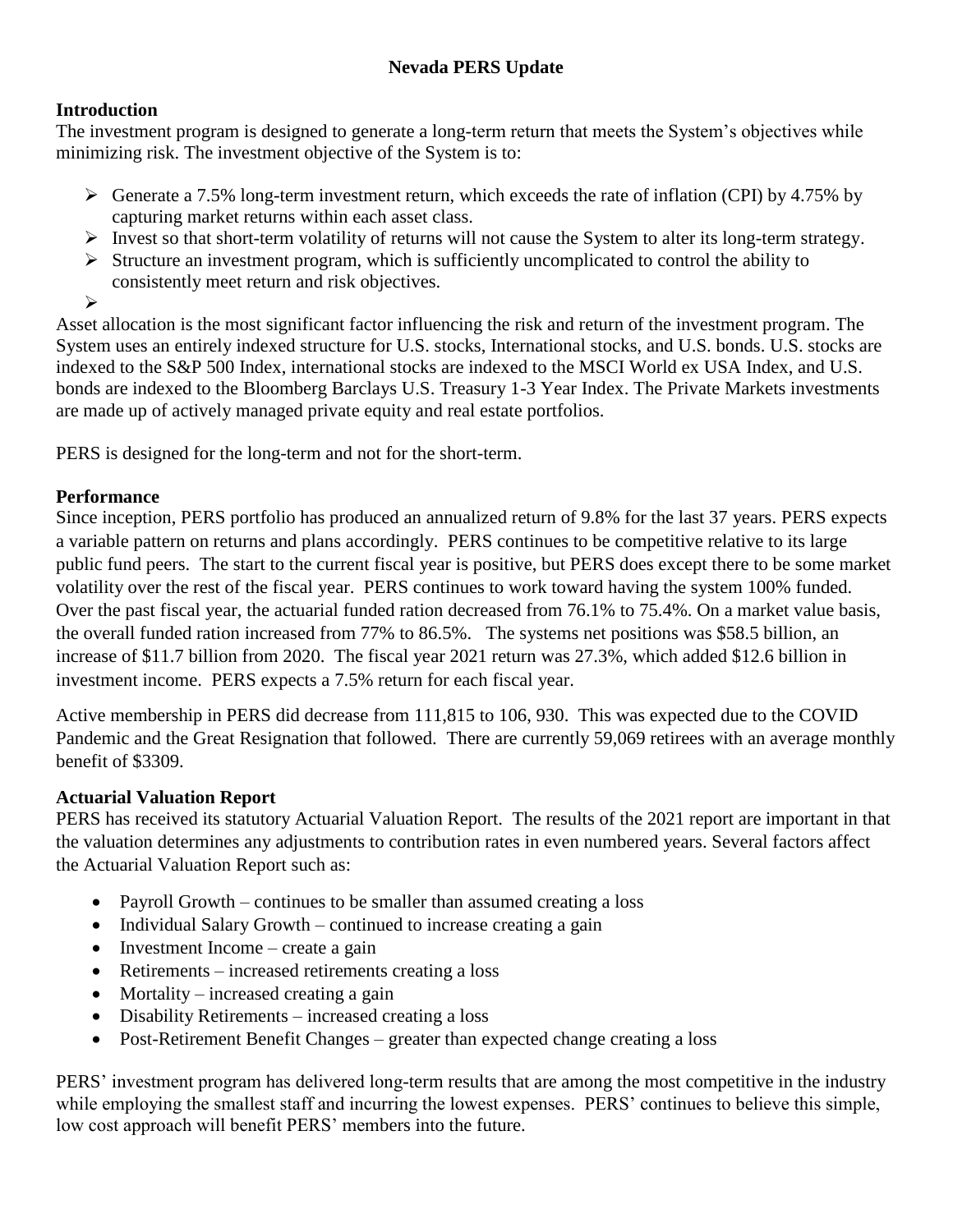## **Introduction**

The investment program is designed to generate a long-term return that meets the System's objectives while minimizing risk. The investment objective of the System is to:

- $\triangleright$  Generate a 7.5% long-term investment return, which exceeds the rate of inflation (CPI) by 4.75% by capturing market returns within each asset class.
- Invest so that short-term volatility of returns will not cause the System to alter its long-term strategy.
- $\triangleright$  Structure an investment program, which is sufficiently uncomplicated to control the ability to consistently meet return and risk objectives.
- $\blacktriangleright$

Asset allocation is the most significant factor influencing the risk and return of the investment program. The System uses an entirely indexed structure for U.S. stocks, International stocks, and U.S. bonds. U.S. stocks are indexed to the S&P 500 Index, international stocks are indexed to the MSCI World ex USA Index, and U.S. bonds are indexed to the Bloomberg Barclays U.S. Treasury 1-3 Year Index. The Private Markets investments are made up of actively managed private equity and real estate portfolios.

PERS is designed for the long-term and not for the short-term.

## **Performance**

Since inception, PERS portfolio has produced an annualized return of 9.8% for the last 37 years. PERS expects a variable pattern on returns and plans accordingly. PERS continues to be competitive relative to its large public fund peers. The start to the current fiscal year is positive, but PERS does except there to be some market volatility over the rest of the fiscal year. PERS continues to work toward having the system 100% funded. Over the past fiscal year, the actuarial funded ration decreased from 76.1% to 75.4%. On a market value basis, the overall funded ration increased from 77% to 86.5%. The systems net positions was \$58.5 billion, an increase of \$11.7 billion from 2020. The fiscal year 2021 return was 27.3%, which added \$12.6 billion in investment income. PERS expects a 7.5% return for each fiscal year.

Active membership in PERS did decrease from 111,815 to 106, 930. This was expected due to the COVID Pandemic and the Great Resignation that followed. There are currently 59,069 retirees with an average monthly benefit of \$3309.

# **Actuarial Valuation Report**

PERS has received its statutory Actuarial Valuation Report. The results of the 2021 report are important in that the valuation determines any adjustments to contribution rates in even numbered years. Several factors affect the Actuarial Valuation Report such as:

- Payroll Growth continues to be smaller than assumed creating a loss
- $\bullet$  Individual Salary Growth continued to increase creating a gain
- $\bullet$  Investment Income create a gain
- Retirements increased retirements creating a loss
- $\bullet$  Mortality increased creating a gain
- Disability Retirements increased creating a loss
- Post-Retirement Benefit Changes greater than expected change creating a loss

PERS' investment program has delivered long-term results that are among the most competitive in the industry while employing the smallest staff and incurring the lowest expenses. PERS' continues to believe this simple, low cost approach will benefit PERS' members into the future.